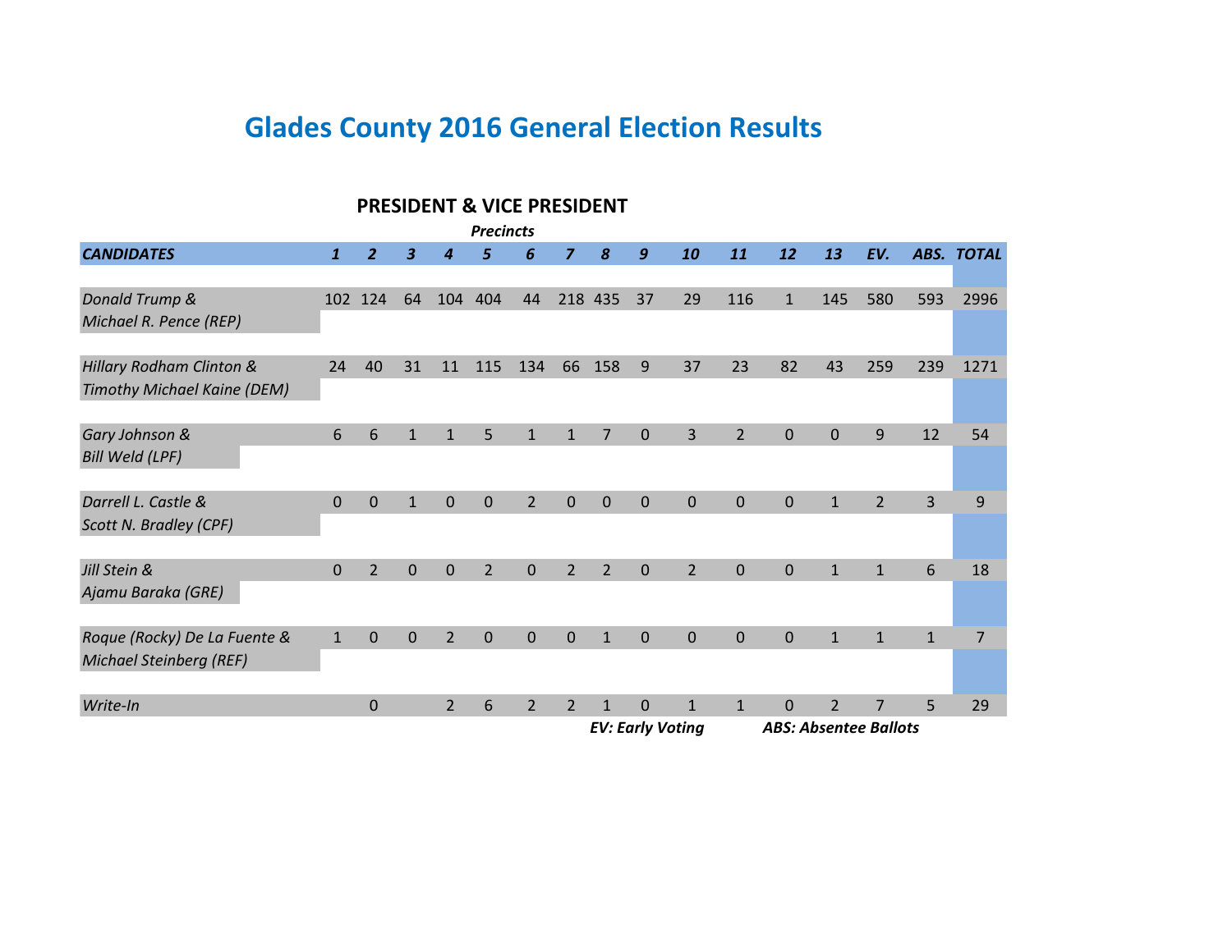# **Glades County 2016 General Election Results**

|                                                                                                                                                                                                     |              |                |              |                | <b>PRESIDENT &amp; VICE PRESIDENT</b> |                |                |                |                         |                |              |                |                              |                |                |            |
|-----------------------------------------------------------------------------------------------------------------------------------------------------------------------------------------------------|--------------|----------------|--------------|----------------|---------------------------------------|----------------|----------------|----------------|-------------------------|----------------|--------------|----------------|------------------------------|----------------|----------------|------------|
|                                                                                                                                                                                                     |              |                |              |                | <b>Precincts</b>                      |                |                |                |                         |                |              |                |                              |                |                |            |
| <b>CANDIDATES</b>                                                                                                                                                                                   | $\mathbf{1}$ | $\overline{z}$ | 3            | Δ              |                                       | 6              | $\overline{z}$ | 8              | 9                       | 10             | 11           | 12             | 13                           | EV.            |                | ABS. TOTAL |
|                                                                                                                                                                                                     |              |                |              |                |                                       |                |                |                |                         |                |              |                |                              |                |                |            |
| Donald Trump &                                                                                                                                                                                      |              | 102 124        | 64           | 104            | 404                                   | 44             |                | 218 435        | 37                      | 29             | 116          | $\mathbf{1}$   | 145                          | 580            | 593            | 2996       |
| Michael R. Pence (REP)                                                                                                                                                                              |              |                |              |                |                                       |                |                |                |                         |                |              |                |                              |                |                |            |
|                                                                                                                                                                                                     |              |                |              |                |                                       |                |                |                |                         |                |              |                |                              |                |                |            |
| Hillary Rodham Clinton &                                                                                                                                                                            | 24           | 40             | 31           | 11             | 115                                   | 134            | 66             | 158            | 9                       | 37             | 23           | 82             | 43                           | 259            | 239            | 1271       |
| Timothy Michael Kaine (DEM)<br>6<br>3<br>$\overline{2}$<br>9<br>6<br>$\mathbf{1}$<br>$\overline{0}$<br>$\overline{0}$<br>12<br>54<br>5<br>$\mathbf{1}$<br>$\overline{7}$<br>$\Omega$<br>$\mathbf 1$ |              |                |              |                |                                       |                |                |                |                         |                |              |                |                              |                |                |            |
| Gary Johnson &                                                                                                                                                                                      |              |                |              |                |                                       |                |                |                |                         |                |              |                |                              |                |                |            |
| <b>Bill Weld (LPF)</b>                                                                                                                                                                              |              |                |              |                |                                       |                |                |                |                         |                |              |                |                              |                |                |            |
|                                                                                                                                                                                                     |              |                |              |                |                                       |                |                |                |                         |                |              |                |                              |                |                |            |
| Darrell L. Castle &                                                                                                                                                                                 | $\mathbf{0}$ | $\overline{0}$ | $\mathbf{1}$ | $\mathbf{0}$   | $\mathbf{0}$                          | $\overline{2}$ | $\mathbf{0}$   | $\mathbf{0}$   | $\mathbf{0}$            | $\mathbf{0}$   | $\mathbf{0}$ | $\overline{0}$ | $\mathbf{1}$                 | $\overline{2}$ | $\overline{3}$ | 9          |
| Scott N. Bradley (CPF)                                                                                                                                                                              |              |                |              |                |                                       |                |                |                |                         |                |              |                |                              |                |                |            |
|                                                                                                                                                                                                     |              |                |              |                |                                       |                |                |                |                         |                |              |                |                              |                |                |            |
| Jill Stein &                                                                                                                                                                                        | 0            | $\overline{2}$ | $\Omega$     | $\Omega$       | $\overline{2}$                        | $\Omega$       | $\overline{2}$ | $\overline{2}$ | $\Omega$                | $\overline{2}$ | $\Omega$     | $\Omega$       | $\mathbf{1}$                 | $\mathbf{1}$   | 6              | 18         |
| Ajamu Baraka (GRE)                                                                                                                                                                                  |              |                |              |                |                                       |                |                |                |                         |                |              |                |                              |                |                |            |
| Roque (Rocky) De La Fuente &                                                                                                                                                                        | $\mathbf{1}$ | $\overline{0}$ | $\Omega$     | $\overline{2}$ | $\Omega$                              | $\mathbf 0$    | $\mathbf 0$    | $\mathbf{1}$   | $\mathbf 0$             | $\mathbf 0$    | $\mathbf 0$  | 0              | $\mathbf{1}$                 | $\mathbf{1}$   | $\mathbf{1}$   | 7          |
| <b>Michael Steinberg (REF)</b>                                                                                                                                                                      |              |                |              |                |                                       |                |                |                |                         |                |              |                |                              |                |                |            |
|                                                                                                                                                                                                     |              |                |              |                |                                       |                |                |                |                         |                |              |                |                              |                |                |            |
| Write-In                                                                                                                                                                                            |              | $\overline{0}$ |              | $\mathcal{P}$  | 6                                     | $\overline{2}$ | $\overline{2}$ | $\mathbf{1}$   | $\overline{0}$          | $\mathbf{1}$   | $\mathbf{1}$ | $\overline{0}$ | $\overline{2}$               | 7              | 5              | 29         |
|                                                                                                                                                                                                     |              |                |              |                |                                       |                |                |                | <b>EV: Early Voting</b> |                |              |                | <b>ABS: Absentee Ballots</b> |                |                |            |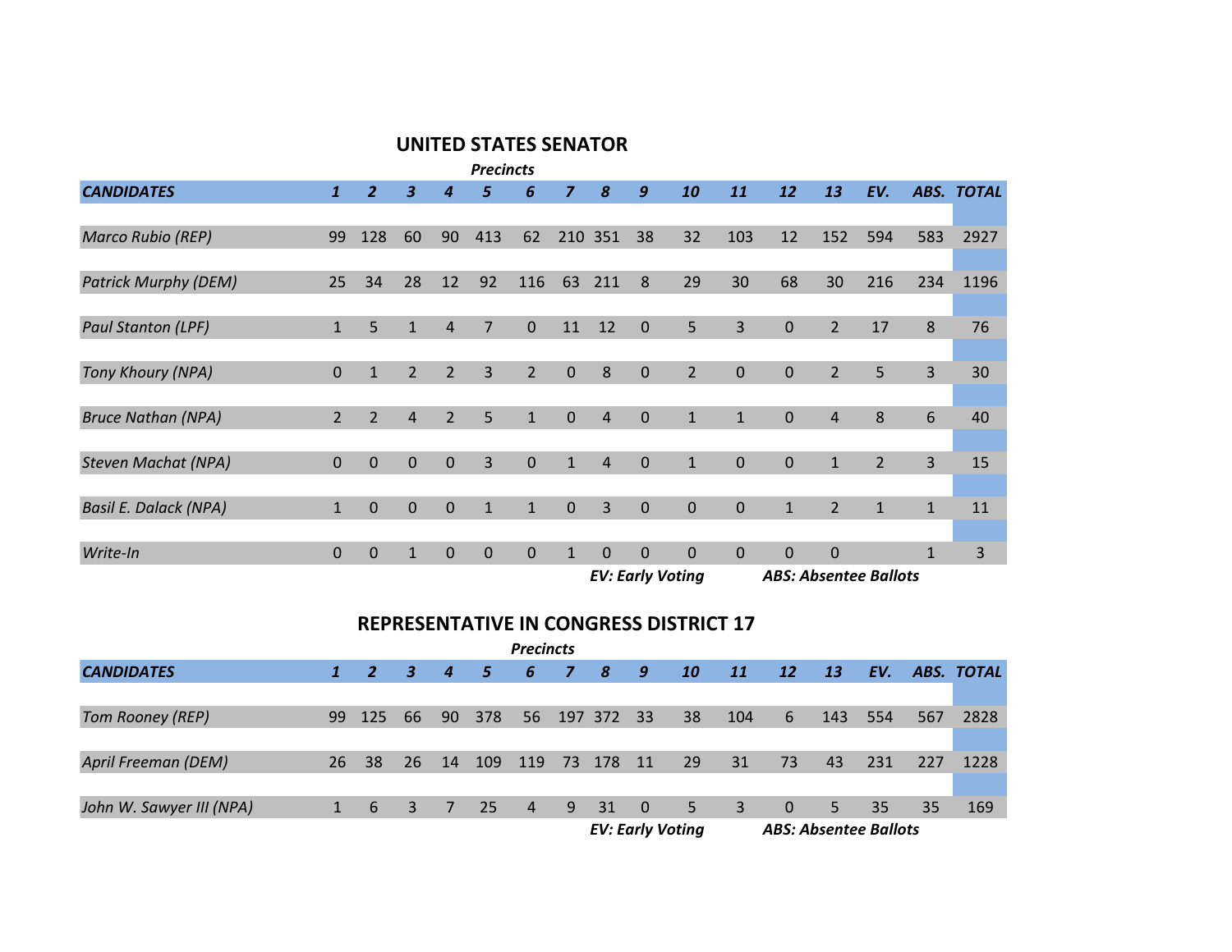#### **UNITED STATES SENATOR**

|                                                                                                                   |               |                |                |                | <b>Precincts</b> |                |                |          |                         |                |                |              |                              |                |              |                   |
|-------------------------------------------------------------------------------------------------------------------|---------------|----------------|----------------|----------------|------------------|----------------|----------------|----------|-------------------------|----------------|----------------|--------------|------------------------------|----------------|--------------|-------------------|
| <b>CANDIDATES</b>                                                                                                 | $\mathbf{1}$  | $\overline{z}$ |                |                |                  | 6              | $\overline{z}$ | 8        | 9                       | 10             | 11             | 12           | 13                           | EV.            |              | <b>ABS. TOTAL</b> |
|                                                                                                                   |               |                |                |                |                  |                |                |          |                         |                |                |              |                              |                |              |                   |
| <b>Marco Rubio (REP)</b>                                                                                          | 99            | 128            | 60             | 90             | 413              | 62             | 210            | 351      | 38                      | 32             | 103            | 12           | 152                          | 594            | 583          | 2927              |
|                                                                                                                   |               |                |                |                |                  |                |                |          |                         |                |                |              |                              |                |              |                   |
| <b>Patrick Murphy (DEM)</b>                                                                                       | 25            | 34             | 28             | 12             | 92               | 116            | 63             | 211      | 8                       | 29             | 30             | 68           | 30                           | 216            | 234          | 1196              |
| 5<br>3<br>$\Omega$<br>$\Omega$<br>$\mathbf{0}$<br>$\overline{2}$<br>17<br>8<br>76<br>5<br>7<br>12<br>11<br>1<br>4 |               |                |                |                |                  |                |                |          |                         |                |                |              |                              |                |              |                   |
| <b>Paul Stanton (LPF)</b>                                                                                         |               |                |                |                |                  |                |                |          |                         |                |                |              |                              |                |              |                   |
|                                                                                                                   |               |                |                |                |                  |                |                |          |                         |                |                |              |                              |                |              |                   |
| Tony Khoury (NPA)                                                                                                 | $\Omega$      | $\mathbf{1}$   | $\overline{2}$ | $\overline{2}$ | 3                | $\overline{2}$ | $\mathbf{0}$   | 8        | $\Omega$                | $\overline{2}$ | $\Omega$       | $\mathbf{0}$ | $\overline{2}$               | 5              | 3            | 30                |
|                                                                                                                   |               |                |                |                |                  |                |                |          |                         |                |                |              |                              |                |              |                   |
| <b>Bruce Nathan (NPA)</b>                                                                                         | $\mathcal{P}$ | $\overline{2}$ | 4              | $\overline{2}$ | 5                | $\mathbf{1}$   | $\Omega$       | 4        | $\Omega$                | $\mathbf{1}$   | $\mathbf{1}$   | $\mathbf{0}$ | 4                            | 8              | 6            | 40                |
|                                                                                                                   |               |                |                |                |                  |                |                |          |                         |                |                |              |                              |                |              |                   |
| <b>Steven Machat (NPA)</b>                                                                                        | $\Omega$      | $\Omega$       | $\Omega$       | $\Omega$       | $\overline{3}$   | $\mathbf{0}$   | $\mathbf{1}$   | 4        | $\Omega$                | $\mathbf{1}$   | $\Omega$       | $\mathbf{0}$ | $\mathbf{1}$                 | $\overline{2}$ | 3            | 15                |
|                                                                                                                   |               |                |                |                |                  |                |                |          |                         |                |                |              |                              |                |              |                   |
| <b>Basil E. Dalack (NPA)</b>                                                                                      | $\mathbf{1}$  | $\Omega$       | $\Omega$       | $\Omega$       | $\mathbf 1$      | $\mathbf{1}$   | $\Omega$       | 3        | $\Omega$                | $\overline{0}$ | $\overline{0}$ | $\mathbf{1}$ | 2                            | $\mathbf{1}$   | $\mathbf{1}$ | 11                |
|                                                                                                                   |               |                |                |                |                  |                |                |          |                         |                |                |              |                              |                |              |                   |
| Write-In                                                                                                          | $\theta$      | $\Omega$       |                | $\Omega$       | $\mathbf{0}$     | $\mathbf 0$    | $\mathbf{1}$   | $\Omega$ | $\Omega$                | $\Omega$       | $\mathbf{0}$   | $\Omega$     | $\Omega$                     |                | $\mathbf{1}$ | 3                 |
|                                                                                                                   |               |                |                |                |                  |                |                |          | <b>EV: Early Voting</b> |                |                |              | <b>ABS: Absentee Ballots</b> |                |              |                   |

#### **REPRESENTATIVE IN CONGRESS DISTRICT 17**

|                          |              |                |              |                |                | <b>Precincts</b> |              |        |                         |    |           |           |                              |     |     |            |
|--------------------------|--------------|----------------|--------------|----------------|----------------|------------------|--------------|--------|-------------------------|----|-----------|-----------|------------------------------|-----|-----|------------|
| <b>CANDIDATES</b>        | $\mathbf{1}$ | $\overline{2}$ | $\mathbf{3}$ | $\overline{a}$ | $\overline{5}$ | 6                | $\mathbf{z}$ | 8      | 9                       | 10 | <b>11</b> | <b>12</b> | <b>13</b>                    | EV. |     | ABS. TOTAL |
|                          |              |                |              |                |                |                  |              |        |                         |    |           |           |                              |     |     |            |
| <b>Tom Rooney (REP)</b>  |              | 99 125         | 66           | 90             | 378 56 197 372 |                  |              |        | -33                     | 38 | 104       | 6         | 143                          | 554 | 567 | 2828       |
|                          |              |                |              |                |                |                  |              |        |                         |    |           |           |                              |     |     |            |
| April Freeman (DEM)      | 26           | 38             | 26           | 14             | 109            | 119              |              | 73 178 | 11                      | 29 | 31        | 73        | 43                           | 231 | 227 | 1228       |
|                          |              |                |              |                |                |                  |              |        |                         |    |           |           |                              |     |     |            |
| John W. Sawyer III (NPA) | 1            | - 6            | $\mathbf{3}$ | 7              | 25             | $\overline{4}$   |              | 9 31   | $\overline{0}$          | 5  | 3         | $\Omega$  | 5 <sup>1</sup>               | 35  | 35  | 169        |
|                          |              |                |              |                |                |                  |              |        | <b>EV: Early Voting</b> |    |           |           | <b>ABS: Absentee Ballots</b> |     |     |            |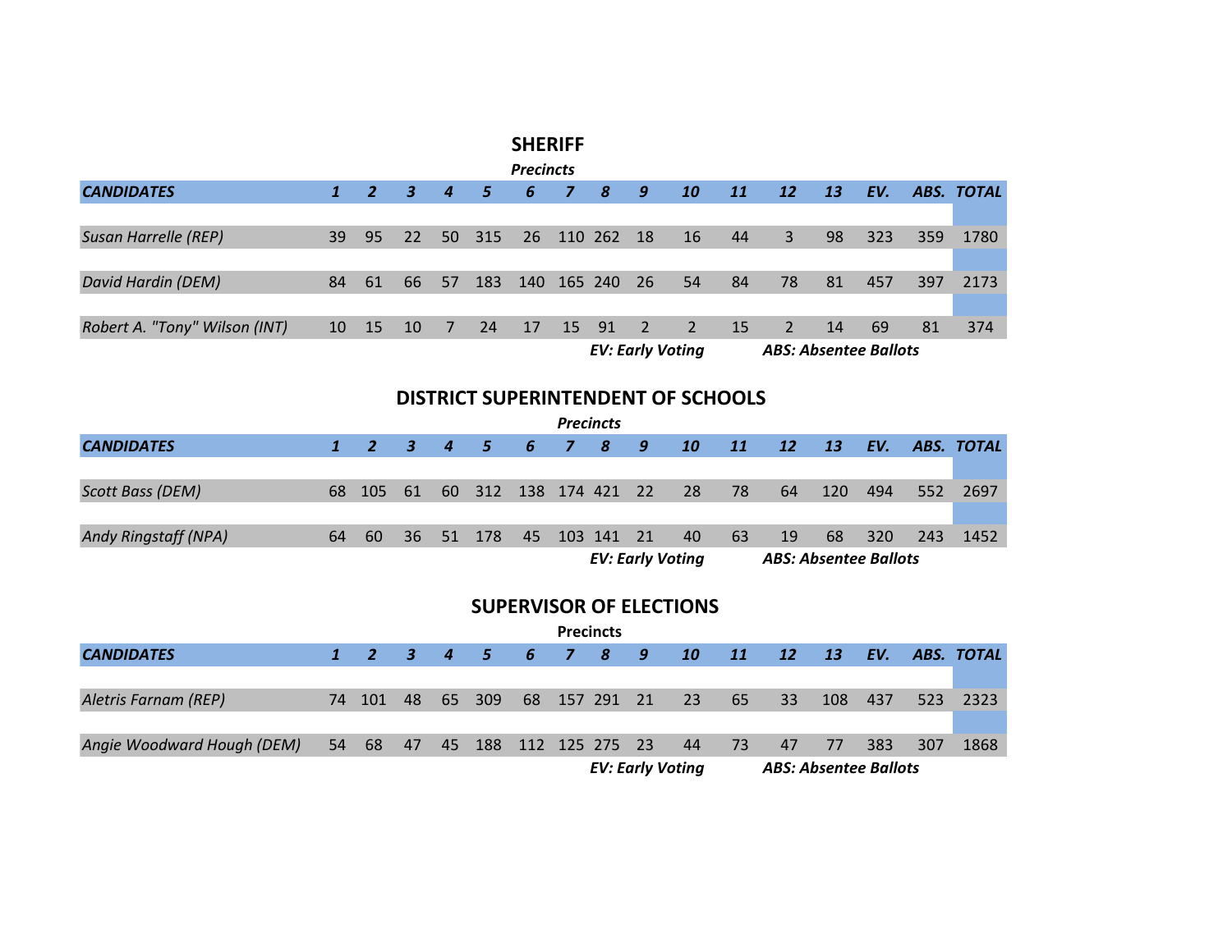|                               |              |                |                      |                  |     | <b>SHERIFF</b>   |                 |    |                         |    |    |                              |    |     |     |            |
|-------------------------------|--------------|----------------|----------------------|------------------|-----|------------------|-----------------|----|-------------------------|----|----|------------------------------|----|-----|-----|------------|
|                               |              |                |                      |                  |     | <b>Precincts</b> |                 |    |                         |    |    |                              |    |     |     |            |
| <b>CANDIDATES</b>             | $\mathbf{1}$ | $\overline{2}$ | $\boldsymbol{\beta}$ | $\boldsymbol{4}$ | 5   | 6                |                 | 8  | 9                       | 10 | 11 | 12                           | 13 | EV. |     | ABS. TOTAL |
| 110 262                       |              |                |                      |                  |     |                  |                 |    |                         |    |    |                              |    |     |     |            |
| Susan Harrelle (REP)          | 39           | 95             | 22                   | 50               | 315 | 26               |                 |    | <sup>18</sup>           | 16 | 44 | 3                            | 98 | 323 | 359 | 1780       |
|                               |              |                |                      |                  |     |                  |                 |    |                         |    |    |                              |    |     |     |            |
| David Hardin (DEM)            | 84           | 61             | 66                   | 57               | 183 | 140              | 165 240         |    | 26                      | 54 | 84 | 78                           | 81 | 457 | 397 | 2173       |
|                               |              |                |                      |                  |     |                  |                 |    |                         |    |    |                              |    |     |     |            |
| Robert A. "Tony" Wilson (INT) | 10           | 15             | 10                   | $\overline{7}$   | 24  | 17               | 15 <sup>2</sup> | 91 | $\sqrt{2}$              | 2  | 15 | $\overline{2}$               | 14 | 69  | 81  | 374        |
|                               |              |                |                      |                  |     |                  |                 |    | <b>EV: Early Voting</b> |    |    | <b>ABS: Absentee Ballots</b> |    |     |     |            |

#### **DISTRICT SUPERINTENDENT OF SCHOOLS**

|                             |    |                 |  |                       |  | <b>Precincts</b> |     |                         |    |                              |      |     |     |            |
|-----------------------------|----|-----------------|--|-----------------------|--|------------------|-----|-------------------------|----|------------------------------|------|-----|-----|------------|
| <b>CANDIDATES</b>           |    | 1 2 3 4 5 6 7 8 |  |                       |  |                  | - 9 | <b>10</b>               | 11 | <b>12</b>                    | - 13 | EV. |     | ABS. TOTAL |
|                             |    |                 |  |                       |  |                  |     |                         |    |                              |      |     |     |            |
| Scott Bass (DEM)            |    | 68 105 61       |  | 60 312 138 174 421 22 |  |                  |     | 28                      | 78 | 64                           | -120 | 494 | 552 | - 2697     |
|                             |    |                 |  |                       |  |                  |     |                         |    |                              |      |     |     |            |
| <b>Andy Ringstaff (NPA)</b> | 64 | -60             |  | 36 51 178             |  | 45 103 141 21    |     | 40                      | 63 | 19                           | 68   | 320 | 243 | 1452       |
|                             |    |                 |  |                       |  |                  |     | <b>EV: Early Voting</b> |    | <b>ABS: Absentee Ballots</b> |      |     |     |            |

#### **SUPERVISOR OF ELECTIONS**

|                            |    |        |     |                       |  | <b>Precincts</b> |                         |           |                          |                              |      |     |     |            |
|----------------------------|----|--------|-----|-----------------------|--|------------------|-------------------------|-----------|--------------------------|------------------------------|------|-----|-----|------------|
| <b>CANDIDATES</b>          |    |        |     | 1 2 3 4 5 6 7 8       |  |                  | 89.                     | <b>10</b> | $\overline{\mathbf{11}}$ | 12 <sup>°</sup>              | - 13 | EV. |     | ABS. TOTAL |
|                            |    |        |     |                       |  |                  |                         |           |                          |                              |      |     |     |            |
| Aletris Farnam (REP)       |    | 74 101 | -48 | 65 309                |  |                  | 68 157 291 21 23        |           | 65                       | - 33                         | 108  | 437 | 523 | -2323      |
|                            |    |        |     |                       |  |                  |                         |           |                          |                              |      |     |     |            |
| Angie Woodward Hough (DEM) | 54 | - 68   | 47  | 45 188 112 125 275 23 |  |                  |                         | 44        | 73                       | 47                           | 77   | 383 | 307 | 1868       |
|                            |    |        |     |                       |  |                  | <b>EV: Early Voting</b> |           |                          | <b>ABS: Absentee Ballots</b> |      |     |     |            |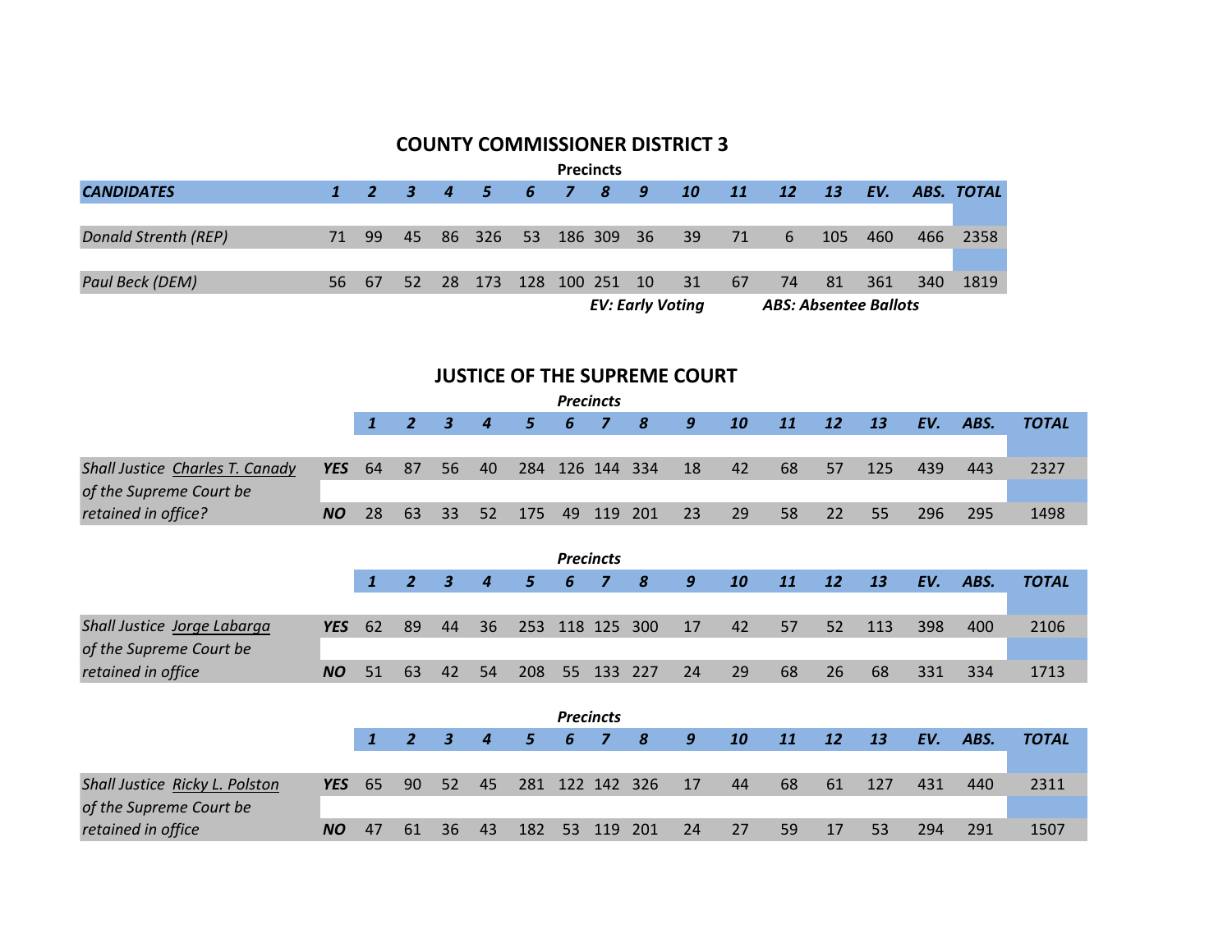#### **COUNTY COMMISSIONER DISTRICT 3**

|                      |                  |      |  |                            |  | <b>Precincts</b> |                         |                 |                            |                              |       |     |            |          |
|----------------------|------------------|------|--|----------------------------|--|------------------|-------------------------|-----------------|----------------------------|------------------------------|-------|-----|------------|----------|
| <b>CANDIDATES</b>    |                  |      |  | 1 2 3 4 5 6 7 8 9          |  |                  |                         | <b>10</b>       | $\overline{\phantom{0}11}$ | <b>12</b>                    | $-13$ | EV. | ABS. TOTAL |          |
|                      |                  |      |  |                            |  |                  |                         |                 |                            |                              |       |     |            |          |
| Donald Strenth (REP) | $\neg$ 71 $\neg$ | - 99 |  | 45 86 326 53 186 309 36 39 |  |                  |                         |                 | 71                         | 6                            | 105   | 460 |            | 466 2358 |
|                      |                  |      |  |                            |  |                  |                         |                 |                            |                              |       |     |            |          |
| Paul Beck (DEM)      | 56.              | - 67 |  | 52 28 173 128 100 251 10   |  |                  |                         | $\overline{31}$ | 67                         | 74                           | 81    | 361 | 340        | 1819     |
|                      |                  |      |  |                            |  |                  | <b>EV: Early Voting</b> |                 |                            | <b>ABS: Absentee Ballots</b> |       |     |            |          |

#### **JUSTICE OF THE SUPREME COURT**

|                                 |            |              |                |                         |                  |     |     | <b>Precincts</b> |     |    |    |    |    |     |     |      |              |
|---------------------------------|------------|--------------|----------------|-------------------------|------------------|-----|-----|------------------|-----|----|----|----|----|-----|-----|------|--------------|
|                                 |            | $\mathbf{1}$ | $\overline{2}$ | 3                       | $\boldsymbol{4}$ | 5   | 6   | 7                | 8   | 9  | 10 | 11 | 12 | 13  | EV. | ABS. | <b>TOTAL</b> |
|                                 |            |              |                |                         |                  |     |     |                  |     |    |    |    |    |     |     |      |              |
| Shall Justice Charles T. Canady | <b>YES</b> | 64           | 87             | 56                      | 40               | 284 | 126 | 144              | 334 | 18 | 42 | 68 | 57 | 125 | 439 | 443  | 2327         |
| of the Supreme Court be         |            |              |                |                         |                  |     |     |                  |     |    |    |    |    |     |     |      |              |
| retained in office?             | <b>NO</b>  | 28           | 63             | 33                      | 52               | 175 | 49  | 119              | 201 | 23 | 29 | 58 | 22 | 55  | 296 | 295  | 1498         |
|                                 |            |              |                |                         |                  |     |     |                  |     |    |    |    |    |     |     |      |              |
|                                 |            |              |                |                         |                  |     |     | <b>Precincts</b> |     |    |    |    |    |     |     |      |              |
|                                 |            | $\mathbf{1}$ | $\overline{2}$ | $\boldsymbol{3}$        | $\boldsymbol{4}$ | 5   | 6   | 7                | 8   | 9  | 10 | 11 | 12 | 13  | EV. | ABS. | <b>TOTAL</b> |
|                                 |            |              |                |                         |                  |     |     |                  |     |    |    |    |    |     |     |      |              |
| Shall Justice Jorge Labarga     | <b>YES</b> | 62           | 89             | 44                      | 36               | 253 |     | 118 125          | 300 | 17 | 42 | 57 | 52 | 113 | 398 | 400  | 2106         |
| of the Supreme Court be         |            |              |                |                         |                  |     |     |                  |     |    |    |    |    |     |     |      |              |
| retained in office              | <b>NO</b>  | 51           | 63             | 42                      | 54               | 208 | 55  | 133              | 227 | 24 | 29 | 68 | 26 | 68  | 331 | 334  | 1713         |
|                                 |            |              |                |                         |                  |     |     |                  |     |    |    |    |    |     |     |      |              |
|                                 |            |              |                |                         |                  |     |     | <b>Precincts</b> |     |    |    |    |    |     |     |      |              |
|                                 |            | $\mathbf{1}$ | $\overline{2}$ | $\overline{\mathbf{3}}$ | $\boldsymbol{4}$ | 5   | 6   | 7                | 8   | 9  | 10 | 11 | 12 | 13  | EV. | ABS. | <b>TOTAL</b> |
|                                 |            |              |                |                         |                  |     |     |                  |     |    |    |    |    |     |     |      |              |
| Shall Justice Ricky L. Polston  | <b>YES</b> | 65           | 90             | 52                      | 45               | 281 |     | 122 142          | 326 | 17 | 44 | 68 | 61 | 127 | 431 | 440  | 2311         |
| of the Supreme Court be         |            |              |                |                         |                  |     |     |                  |     |    |    |    |    |     |     |      |              |
| retained in office              | <b>NO</b>  | 47           | 61             | 36                      | 43               | 182 | 53  | 119              | 201 | 24 | 27 | 59 | 17 | 53  | 294 | 291  | 1507         |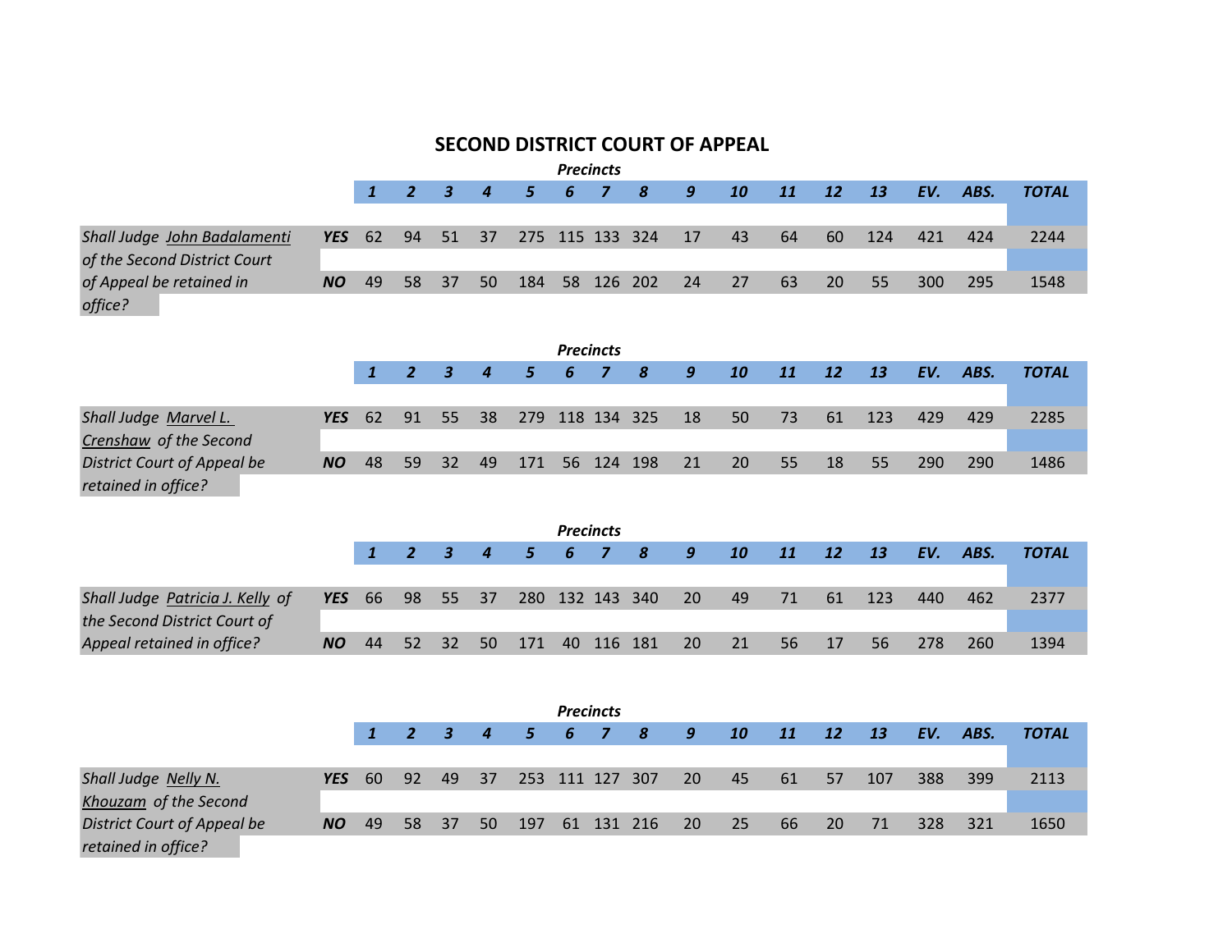|                                                                  |            |              |                |                         |                  |     |    | <b>Precincts</b> |     |                  | <b>SECOND DISTRICT COURT OF APPEAL</b> |    |    |     |     |      |              |
|------------------------------------------------------------------|------------|--------------|----------------|-------------------------|------------------|-----|----|------------------|-----|------------------|----------------------------------------|----|----|-----|-----|------|--------------|
|                                                                  |            | $\mathbf{1}$ | $\overline{2}$ | $\boldsymbol{3}$        | 4                | 5   | 6  | $\overline{z}$   | 8   | 9                | 10                                     | 11 | 12 | 13  | EV. | ABS. | <b>TOTAL</b> |
| Shall Judge John Badalamenti<br>of the Second District Court     | <b>YES</b> | 62           | 94             | 51                      | 37               | 275 |    | 115 133 324      |     | 17               | 43                                     | 64 | 60 | 124 | 421 | 424  | 2244         |
| of Appeal be retained in<br>office?                              | <b>NO</b>  | 49           | 58             | 37                      | 50               | 184 | 58 | 126              | 202 | 24               | 27                                     | 63 | 20 | 55  | 300 | 295  | 1548         |
|                                                                  |            |              |                |                         |                  |     |    | <b>Precincts</b> |     |                  |                                        |    |    |     |     |      |              |
|                                                                  |            | $\mathbf{1}$ | $\overline{2}$ | $\overline{\mathbf{3}}$ | $\boldsymbol{4}$ | 5   | 6  | $\overline{z}$   | 8   | $\boldsymbol{g}$ | 10                                     | 11 | 12 | 13  | EV. | ABS. | <b>TOTAL</b> |
| Shall Judge Marvel L.<br>Crenshaw of the Second                  | <b>YES</b> | 62           | 91             | 55                      | 38               | 279 |    | 118 134 325      |     | 18               | 50                                     | 73 | 61 | 123 | 429 | 429  | 2285         |
| <b>District Court of Appeal be</b><br>retained in office?        | <b>NO</b>  | 48           | 59             | 32                      | 49               | 171 | 56 | 124 198          |     | 21               | 20                                     | 55 | 18 | 55  | 290 | 290  | 1486         |
|                                                                  |            |              |                |                         |                  |     |    | <b>Precincts</b> |     |                  |                                        |    |    |     |     |      |              |
|                                                                  |            | $\mathbf{1}$ | $\overline{2}$ | $\overline{\mathbf{3}}$ | 4                | 5   | 6  | $\overline{z}$   | 8   | $\boldsymbol{g}$ | 10                                     | 11 | 12 | 13  | EV. | ABS. | <b>TOTAL</b> |
| Shall Judge Patricia J. Kelly of<br>the Second District Court of | <b>YES</b> | 66           | 98             | 55                      | 37               | 280 |    | 132 143 340      |     | 20               | 49                                     | 71 | 61 | 123 | 440 | 462  | 2377         |
| Appeal retained in office?                                       | <b>NO</b>  | 44           | 52             | 32                      | 50               | 171 | 40 | 116 181          |     | 20               | 21                                     | 56 | 17 | 56  | 278 | 260  | 1394         |
|                                                                  |            |              |                |                         |                  |     |    | <b>Precincts</b> |     |                  |                                        |    |    |     |     |      |              |
|                                                                  |            | $\mathbf{1}$ | $\overline{2}$ | $\overline{\mathbf{3}}$ | $\overline{4}$   | 5   | 6  | $\overline{z}$   | 8   | 9                | 10                                     | 11 | 12 | 13  | EV. | ABS. | <b>TOTAL</b> |
|                                                                  |            |              |                |                         |                  |     |    |                  |     |                  |                                        |    |    |     |     |      |              |
| Shall Judge Nelly N.<br>Khouzam of the Second                    | <b>YES</b> | 60           | 92             | 49                      | 37               | 253 |    | 111 127          | 307 | 20               | 45                                     | 61 | 57 | 107 | 388 | 399  | 2113         |
| <b>District Court of Appeal be</b><br>retained in office?        | <b>NO</b>  | 49           | 58             | 37                      | 50               | 197 | 61 | 131              | 216 | 20               | 25                                     | 66 | 20 | 71  | 328 | 321  | 1650         |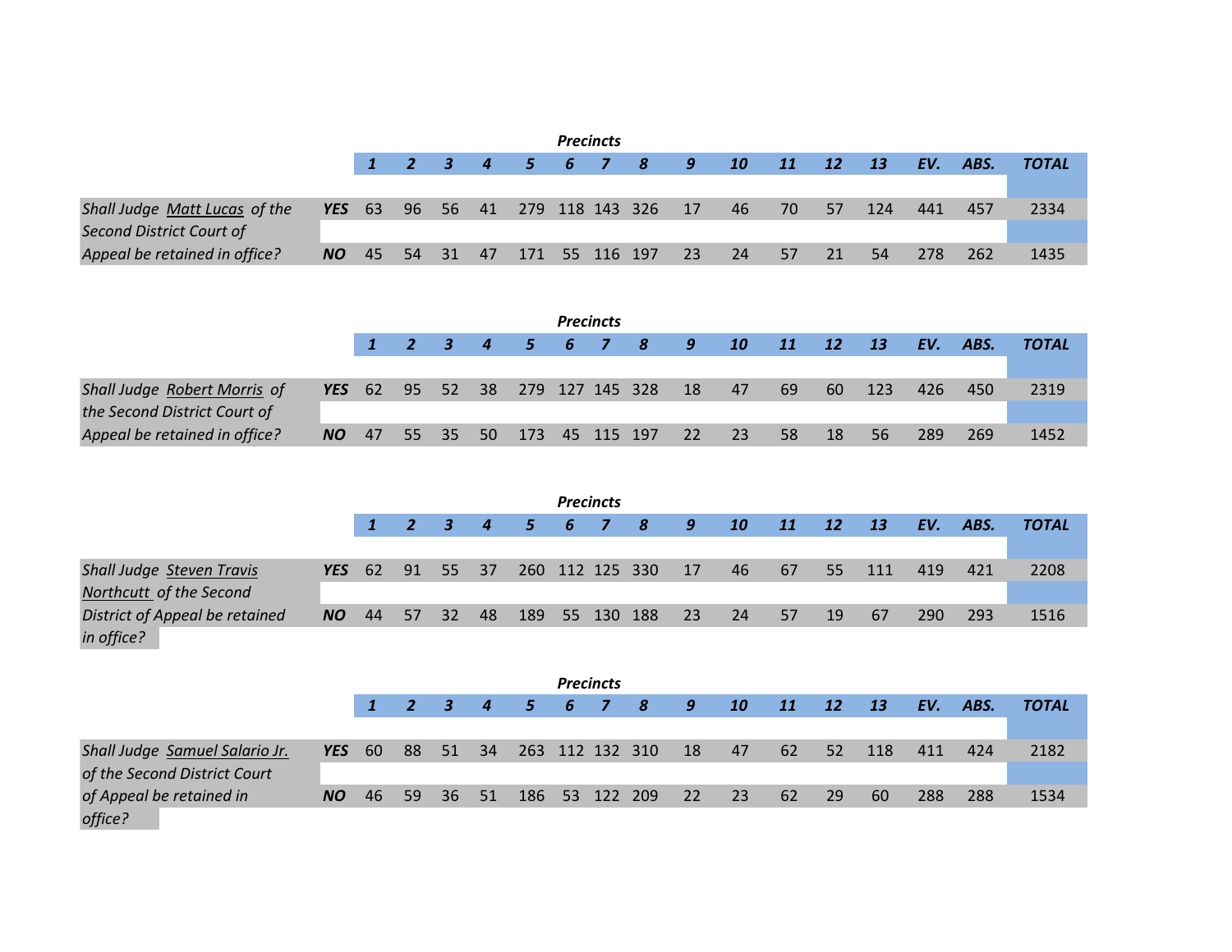|                               |     |  |  |  | <b>Precincts</b> |                                           |          |       |                                        |     |      |              |
|-------------------------------|-----|--|--|--|------------------|-------------------------------------------|----------|-------|----------------------------------------|-----|------|--------------|
|                               |     |  |  |  |                  |                                           |          |       | 1 2 3 4 5 6 7 8 9 10 11 12 13 EV. ABS. |     |      | <b>TOTAL</b> |
|                               |     |  |  |  |                  |                                           |          |       |                                        |     |      |              |
| Shall Judge Matt Lucas of the |     |  |  |  |                  | <b>YES</b> 63 96 56 41 279 118 143 326 17 | 46 70 57 |       | $-124$                                 | 441 | 457  | 2334         |
| Second District Court of      |     |  |  |  |                  |                                           |          |       |                                        |     |      |              |
| Appeal be retained in office? | NO. |  |  |  |                  | 45 54 31 47 171 55 116 197 23             | 24       | 57 21 | -54                                    | 278 | -262 | 1435         |

|                               |           |  |  |                            | <b>Precincts</b> |                  |                                              |       |     |                                        |     |     |       |
|-------------------------------|-----------|--|--|----------------------------|------------------|------------------|----------------------------------------------|-------|-----|----------------------------------------|-----|-----|-------|
|                               |           |  |  |                            |                  |                  |                                              |       |     | 1 2 3 4 5 6 7 8 9 10 11 12 13 EV. ABS. |     |     | TOTAL |
|                               |           |  |  |                            |                  |                  |                                              |       |     |                                        |     |     |       |
| Shall Judge Robert Morris of  |           |  |  |                            |                  |                  | <b>YES</b> 62 95 52 38 279 127 145 328 18 47 | $-69$ | -60 | $\sqrt{123}$                           | 426 | 450 | 2319  |
| the Second District Court of  |           |  |  |                            |                  |                  |                                              |       |     |                                        |     |     |       |
| Appeal be retained in office? | <b>NO</b> |  |  | 47 55 35 50 173 45 115 197 |                  | $\sim$ 22 $\sim$ | 23                                           | 58    | 18  | -56                                    | 289 | 269 | 1452  |

|                                  |               |     |          |                             |      |                | <b>Precincts</b> |                     |    |      |       |                 |              |     |      |              |
|----------------------------------|---------------|-----|----------|-----------------------------|------|----------------|------------------|---------------------|----|------|-------|-----------------|--------------|-----|------|--------------|
|                                  |               |     |          |                             |      |                |                  | $1$ 2 3 4 5 6 7 8 9 |    | - 10 | 11    | $\overline{12}$ | - 13         | EV. | ABS. | <b>TOTAL</b> |
|                                  |               |     |          |                             |      |                |                  |                     |    |      |       |                 |              |     |      |              |
| <b>Shall Judge Steven Travis</b> | <b>YES</b> 62 |     | 91 55 37 |                             |      |                |                  | 260 112 125 330 17  |    |      | 46 67 | $55^{\circ}$    | $\sqrt{111}$ | 419 | 421  | 2208         |
| Northcutt of the Second          |               |     |          |                             |      |                |                  |                     |    |      |       |                 |              |     |      |              |
| District of Appeal be retained   | <b>NO</b>     | -44 | $-57$    | $\overline{\phantom{0}}$ 32 | - 48 | 189 55 130 188 |                  |                     | 23 | 24   | 57    | 19              | -67          | 290 | 293  | 1516         |
| in office?                       |               |     |          |                             |      |                |                  |                     |    |      |       |                 |              |     |      |              |

|                                | <b>Precincts</b> |             |  |          |  |                 |  |  |                    |       |    |           |    |                 |          |     |              |
|--------------------------------|------------------|-------------|--|----------|--|-----------------|--|--|--------------------|-------|----|-----------|----|-----------------|----------|-----|--------------|
|                                |                  |             |  |          |  | 1 2 3 4 5 6 7 8 |  |  |                    | $  -$ | 10 | 11 12     |    | $\overline{13}$ | EV. ABS. |     | <b>TOTAL</b> |
|                                |                  |             |  |          |  |                 |  |  |                    |       |    |           |    |                 |          |     |              |
| Shall Judge Samuel Salario Jr. | <b>YES</b> 60    |             |  | 88 51 34 |  |                 |  |  | 263 112 132 310 18 |       | 47 | <b>62</b> | 52 | 118             | 411      | 424 | 2182         |
| of the Second District Court   |                  |             |  |          |  |                 |  |  |                    |       |    |           |    |                 |          |     |              |
| of Appeal be retained in       | NO               | 46 59 36 51 |  |          |  |                 |  |  | 186 53 122 209 22  |       | 23 | 62        | 29 | 60              | 288      | 288 | 1534         |
| office?                        |                  |             |  |          |  |                 |  |  |                    |       |    |           |    |                 |          |     |              |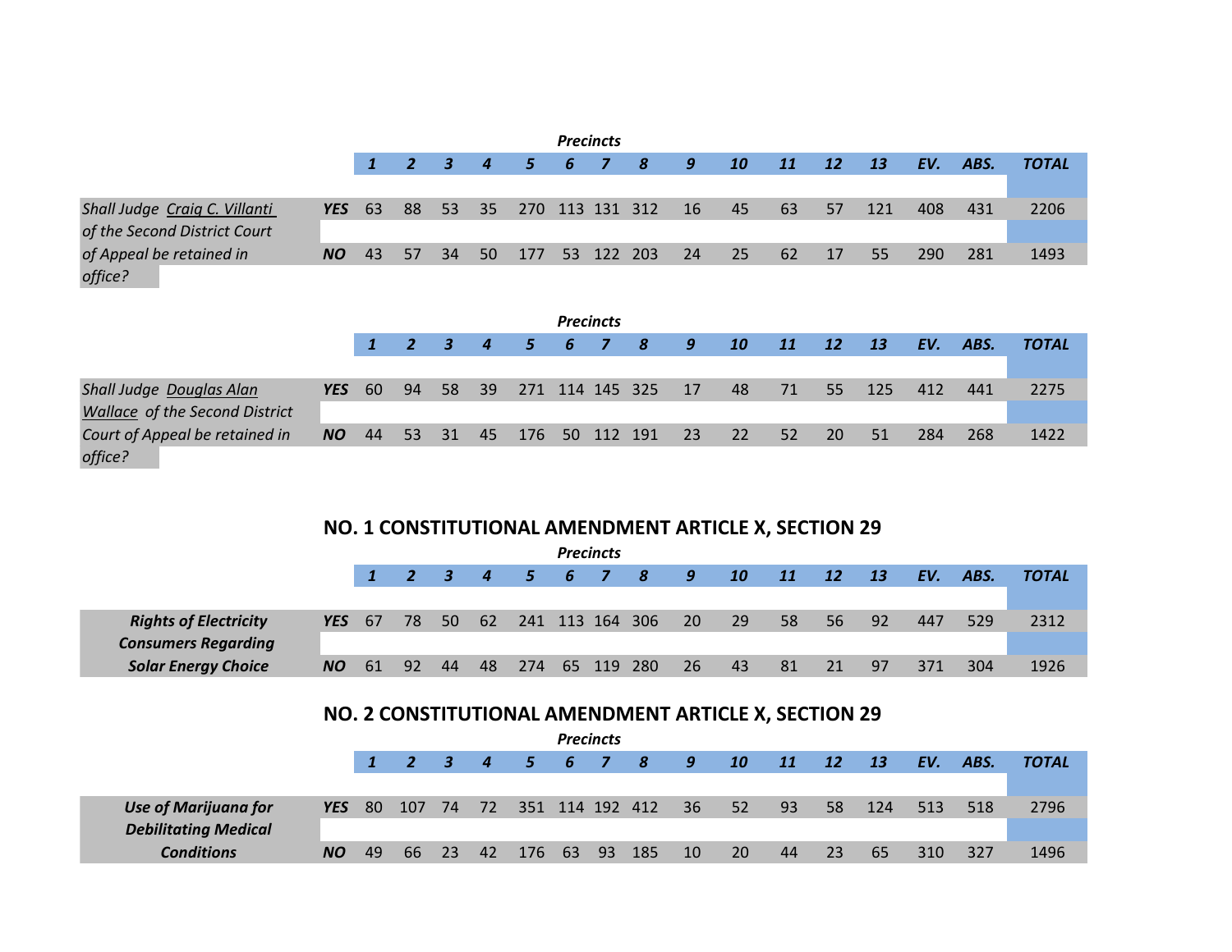| <b>Precincts</b>                                              |               |       |  |  |  |  |  |  |                                                                     |  |                                      |          |             |      |          |     |              |
|---------------------------------------------------------------|---------------|-------|--|--|--|--|--|--|---------------------------------------------------------------------|--|--------------------------------------|----------|-------------|------|----------|-----|--------------|
|                                                               |               |       |  |  |  |  |  |  | $1 \quad 2 \quad 3 \quad 4 \quad 5 \quad 6 \quad 7 \quad 8 \quad 9$ |  | 10                                   | 11 12 13 |             |      | EV. ABS. |     | <b>TOTAL</b> |
| Shall Judge Craig C. Villanti<br>of the Second District Court | <b>YES</b> 63 |       |  |  |  |  |  |  |                                                                     |  | 88 53 35 270 113 131 312 16 45 63 57 |          |             | 121  | 408      | 431 | 2206         |
| of Appeal be retained in<br>office?                           | NO            | 43 57 |  |  |  |  |  |  | 34 50 177 53 122 203 24                                             |  | 25                                   | - 62     | $\angle$ 17 | -55. | 290      | 281 | 1493         |

|                                       | <b>Precincts</b> |  |  |  |  |  |  |  |                                         |                             |            |          |           |        |     |          |              |
|---------------------------------------|------------------|--|--|--|--|--|--|--|-----------------------------------------|-----------------------------|------------|----------|-----------|--------|-----|----------|--------------|
|                                       |                  |  |  |  |  |  |  |  |                                         | $1$ 2 3 4 5 6 7 8 9         | 10         | 11 12 13 |           |        |     | EV. ABS. | <b>TOTAL</b> |
|                                       |                  |  |  |  |  |  |  |  |                                         |                             |            |          |           |        |     |          |              |
| Shall Judge Douglas Alan              | <b>YES</b> 60    |  |  |  |  |  |  |  |                                         | 94 58 39 271 114 145 325 17 | 48 71 55   |          |           | $-125$ | 412 | 441      | 2275         |
| <b>Wallace of the Second District</b> |                  |  |  |  |  |  |  |  |                                         |                             |            |          |           |        |     |          |              |
| Court of Appeal be retained in        |                  |  |  |  |  |  |  |  | <b>NO</b> 44 53 31 45 176 50 112 191 23 |                             | $22 \t 52$ |          | <b>20</b> | 51     | 284 | 268      | 1422         |
| office?                               |                  |  |  |  |  |  |  |  |                                         |                             |            |          |           |        |     |          |              |

#### **NO. 1 CONSTITUTIONAL AMENDMENT ARTICLE X, SECTION 29**

| <b>Precincts</b>             |          |               |                 |          |  |                   |  |  |  |                 |      |                            |           |    |     |      |              |
|------------------------------|----------|---------------|-----------------|----------|--|-------------------|--|--|--|-----------------|------|----------------------------|-----------|----|-----|------|--------------|
|                              |          |               |                 |          |  |                   |  |  |  | 2 3 4 5 6 7 8 9 | - 10 | $\overline{\phantom{0}11}$ | $12$ $13$ |    | EV. | ABS. | <b>TOTAL</b> |
|                              |          |               |                 |          |  |                   |  |  |  |                 |      |                            |           |    |     |      |              |
| <b>Rights of Electricity</b> | $YES$ 67 |               |                 | 78 50 62 |  | 241 113 164 306   |  |  |  | 20              | - 29 | 58                         | 56        | 92 | 447 | 529  | 2312         |
| <b>Consumers Regarding</b>   |          |               |                 |          |  |                   |  |  |  |                 |      |                            |           |    |     |      |              |
| <b>Solar Energy Choice</b>   | NO       | <sup>61</sup> | 92 <sub>1</sub> | - 44     |  | 48 274 65 119 280 |  |  |  | 26              | -43  | 81                         | 21        | 97 | 371 | 304  | 1926         |

## **NO. 2 CONSTITUTIONAL AMENDMENT ARTICLE X, SECTION 29**

| <b>Precincts</b>            |            |      |     |    |  |                                                     |  |  |     |                             |           |                                                                                                  |     |                   |     |      |              |
|-----------------------------|------------|------|-----|----|--|-----------------------------------------------------|--|--|-----|-----------------------------|-----------|--------------------------------------------------------------------------------------------------|-----|-------------------|-----|------|--------------|
|                             |            |      |     |    |  | $2 \quad 3 \quad 4 \quad 5 \quad 6 \quad 7 \quad 8$ |  |  |     | $\overline{\phantom{0}}$ 9  | <b>10</b> | $\begin{array}{ c c c c c } \hline \textbf{11} & \textbf{12} & \textbf{12} \ \hline \end{array}$ |     | $\blacksquare$ 13 | EV. | ABS. | <b>TOTAL</b> |
|                             |            |      |     |    |  |                                                     |  |  |     |                             |           |                                                                                                  |     |                   |     |      |              |
| <b>Use of Marijuana for</b> | <b>YES</b> | - 80 | 107 |    |  |                                                     |  |  |     | 74 72 351 114 192 412 36 52 |           | 93                                                                                               | 58  | 124               | 513 | 518  | 2796         |
| <b>Debilitating Medical</b> |            |      |     |    |  |                                                     |  |  |     |                             |           |                                                                                                  |     |                   |     |      |              |
| <b>Conditions</b>           | NO.        | 49   | 66  | 23 |  | 42 176 63 93                                        |  |  | 185 | $10^{-}$                    | <b>20</b> | 44                                                                                               | -23 | -65               | 310 | 327  | 1496         |